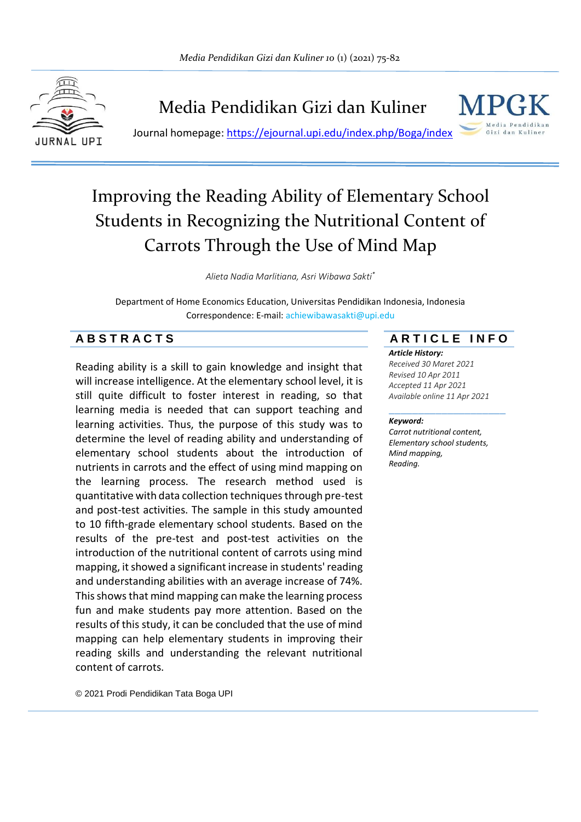

Media Pendidikan Gizi dan Kuliner

Journal homepage:<https://ejournal.upi.edu/index.php/Boga/index>



# Improving the Reading Ability of Elementary School Students in Recognizing the Nutritional Content of Carrots Through the Use of Mind Map

*Alieta Nadia Marlitiana, Asri Wibawa Sakti\**

Department of Home Economics Education, Universitas Pendidikan Indonesia, Indonesia Correspondence: E-mail: achiewibawasakti@upi.edu

# **A B S T R A C T S A R T I C L E I N F O**

Reading ability is a skill to gain knowledge and insight that will increase intelligence. At the elementary school level, it is still quite difficult to foster interest in reading, so that learning media is needed that can support teaching and learning activities. Thus, the purpose of this study was to determine the level of reading ability and understanding of elementary school students about the introduction of nutrients in carrots and the effect of using mind mapping on the learning process. The research method used is quantitative with data collection techniques through pre-test and post-test activities. The sample in this study amounted to 10 fifth-grade elementary school students. Based on the results of the pre-test and post-test activities on the introduction of the nutritional content of carrots using mind mapping, it showed a significant increase in students' reading and understanding abilities with an average increase of 74%. This shows that mind mapping can make the learning process fun and make students pay more attention. Based on the results of this study, it can be concluded that the use of mind mapping can help elementary students in improving their reading skills and understanding the relevant nutritional content of carrots.

*Article History:*

*Received 30 Maret 2021 Revised 10 Apr 2011 Accepted 11 Apr 2021 Available online 11 Apr 2021*

#### \_\_\_\_\_\_\_\_\_\_\_\_\_\_\_\_\_\_\_\_ *Keyword:*

*Carrot nutritional content, Elementary school students, Mind mapping, Reading.*

© 2021 Prodi Pendidikan Tata Boga UPI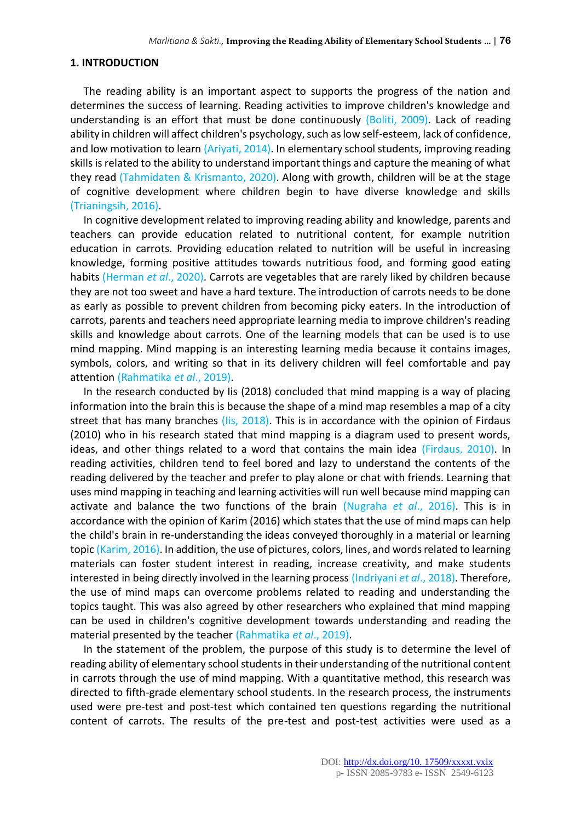#### **1. INTRODUCTION**

The reading ability is an important aspect to supports the progress of the nation and determines the success of learning. Reading activities to improve children's knowledge and understanding is an effort that must be done continuously (Boliti, 2009). Lack of reading ability in children will affect children's psychology, such as low self-esteem, lack of confidence, and low motivation to learn (Ariyati, 2014). In elementary school students, improving reading skills is related to the ability to understand important things and capture the meaning of what they read (Tahmidaten & Krismanto, 2020). Along with growth, children will be at the stage of cognitive development where children begin to have diverse knowledge and skills (Trianingsih, 2016).

In cognitive development related to improving reading ability and knowledge, parents and teachers can provide education related to nutritional content, for example nutrition education in carrots. Providing education related to nutrition will be useful in increasing knowledge, forming positive attitudes towards nutritious food, and forming good eating habits (Herman *et al*., 2020). Carrots are vegetables that are rarely liked by children because they are not too sweet and have a hard texture. The introduction of carrots needs to be done as early as possible to prevent children from becoming picky eaters. In the introduction of carrots, parents and teachers need appropriate learning media to improve children's reading skills and knowledge about carrots. One of the learning models that can be used is to use mind mapping. Mind mapping is an interesting learning media because it contains images, symbols, colors, and writing so that in its delivery children will feel comfortable and pay attention (Rahmatika *et al*., 2019).

In the research conducted by Iis (2018) concluded that mind mapping is a way of placing information into the brain this is because the shape of a mind map resembles a map of a city street that has many branches (Iis, 2018). This is in accordance with the opinion of Firdaus (2010) who in his research stated that mind mapping is a diagram used to present words, ideas, and other things related to a word that contains the main idea (Firdaus, 2010). In reading activities, children tend to feel bored and lazy to understand the contents of the reading delivered by the teacher and prefer to play alone or chat with friends. Learning that uses mind mapping in teaching and learning activities will run well because mind mapping can activate and balance the two functions of the brain (Nugraha *et al*., 2016). This is in accordance with the opinion of Karim (2016) which states that the use of mind maps can help the child's brain in re-understanding the ideas conveyed thoroughly in a material or learning topic (Karim, 2016). In addition, the use of pictures, colors, lines, and words related to learning materials can foster student interest in reading, increase creativity, and make students interested in being directly involved in the learning process (Indriyani *et al*., 2018). Therefore, the use of mind maps can overcome problems related to reading and understanding the topics taught. This was also agreed by other researchers who explained that mind mapping can be used in children's cognitive development towards understanding and reading the material presented by the teacher (Rahmatika *et al*., 2019).

In the statement of the problem, the purpose of this study is to determine the level of reading ability of elementary school students in their understanding of the nutritional content in carrots through the use of mind mapping. With a quantitative method, this research was directed to fifth-grade elementary school students. In the research process, the instruments used were pre-test and post-test which contained ten questions regarding the nutritional content of carrots. The results of the pre-test and post-test activities were used as a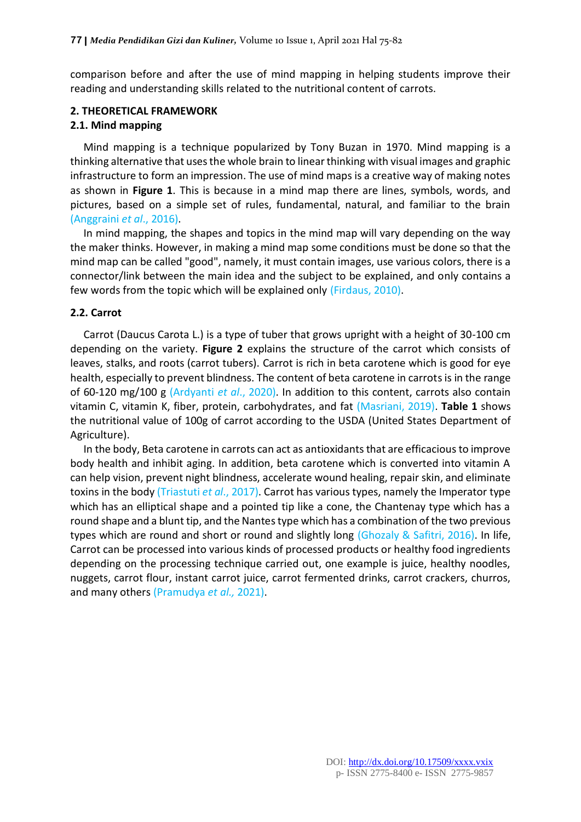comparison before and after the use of mind mapping in helping students improve their reading and understanding skills related to the nutritional content of carrots.

# **2. THEORETICAL FRAMEWORK**

### **2.1. Mind mapping**

Mind mapping is a technique popularized by Tony Buzan in 1970. Mind mapping is a thinking alternative that uses the whole brain to linear thinking with visual images and graphic infrastructure to form an impression. The use of mind maps is a creative way of making notes as shown in **Figure 1**. This is because in a mind map there are lines, symbols, words, and pictures, based on a simple set of rules, fundamental, natural, and familiar to the brain (Anggraini *et al*., 2016).

In mind mapping, the shapes and topics in the mind map will vary depending on the way the maker thinks. However, in making a mind map some conditions must be done so that the mind map can be called "good", namely, it must contain images, use various colors, there is a connector/link between the main idea and the subject to be explained, and only contains a few words from the topic which will be explained only (Firdaus, 2010).

# **2.2. Carrot**

Carrot (Daucus Carota L.) is a type of tuber that grows upright with a height of 30-100 cm depending on the variety. **Figure 2** explains the structure of the carrot which consists of leaves, stalks, and roots (carrot tubers). Carrot is rich in beta carotene which is good for eye health, especially to prevent blindness. The content of beta carotene in carrots is in the range of 60-120 mg/100 g (Ardyanti *et al*., 2020). In addition to this content, carrots also contain vitamin C, vitamin K, fiber, protein, carbohydrates, and fat (Masriani, 2019). **Table 1** shows the nutritional value of 100g of carrot according to the USDA (United States Department of Agriculture).

In the body, Beta carotene in carrots can act as antioxidants that are efficacious to improve body health and inhibit aging. In addition, beta carotene which is converted into vitamin A can help vision, prevent night blindness, accelerate wound healing, repair skin, and eliminate toxins in the body (Triastuti *et al*., 2017). Carrot has various types, namely the Imperator type which has an elliptical shape and a pointed tip like a cone, the Chantenay type which has a round shape and a blunt tip, and the Nantes type which has a combination of the two previous types which are round and short or round and slightly long (Ghozaly & Safitri, 2016). In life, Carrot can be processed into various kinds of processed products or healthy food ingredients depending on the processing technique carried out, one example is juice, healthy noodles, nuggets, carrot flour, instant carrot juice, carrot fermented drinks, carrot crackers, churros, and many others (Pramudya *et al.,* 2021).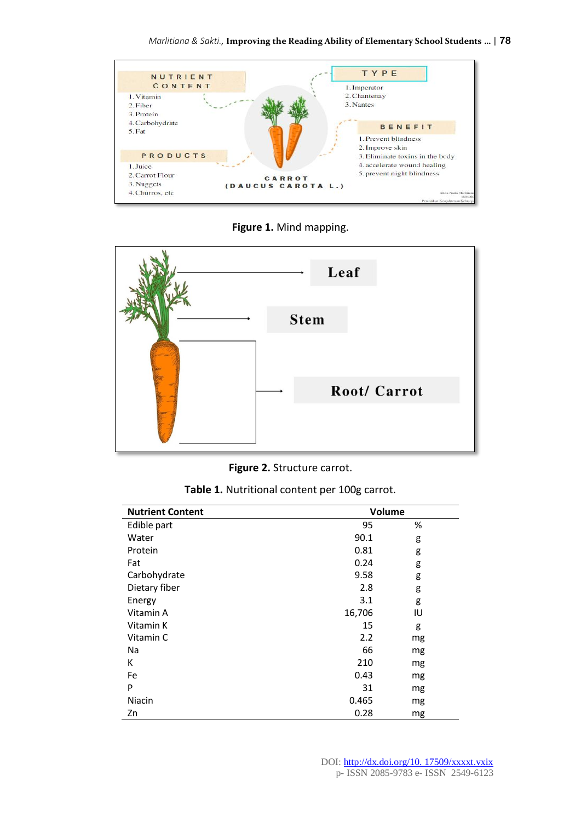

**Figure 1.** Mind mapping.



**Figure 2.** Structure carrot.

| <b>Nutrient Content</b> | Volume |    |
|-------------------------|--------|----|
| Edible part             | 95     | %  |
| Water                   | 90.1   | g  |
| Protein                 | 0.81   | g  |
| Fat                     | 0.24   | g  |
| Carbohydrate            | 9.58   | g  |
| Dietary fiber           | 2.8    | g  |
| Energy                  | 3.1    | g  |
| Vitamin A               | 16,706 | IU |
| Vitamin K               | 15     | g  |
| Vitamin C               | 2.2    | mg |
| Na                      | 66     | mg |
| Κ                       | 210    | mg |
| Fe                      | 0.43   | mg |
| P                       | 31     | mg |
| Niacin                  | 0.465  | mg |
| Zn                      | 0.28   | mg |

**Table 1.** Nutritional content per 100g carrot.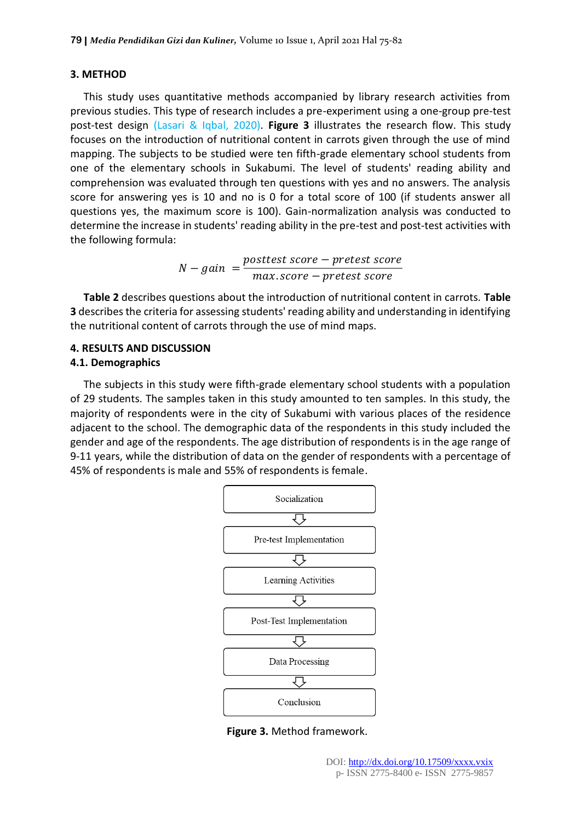### **3. METHOD**

This study uses quantitative methods accompanied by library research activities from previous studies. This type of research includes a pre-experiment using a one-group pre-test post-test design (Lasari & Iqbal, 2020). **Figure 3** illustrates the research flow. This study focuses on the introduction of nutritional content in carrots given through the use of mind mapping. The subjects to be studied were ten fifth-grade elementary school students from one of the elementary schools in Sukabumi. The level of students' reading ability and comprehension was evaluated through ten questions with yes and no answers. The analysis score for answering yes is 10 and no is 0 for a total score of 100 (if students answer all questions yes, the maximum score is 100). Gain-normalization analysis was conducted to determine the increase in students' reading ability in the pre-test and post-test activities with the following formula:

$$
N-gain = \frac{posttest score - pretest score}{max score - pretest score}
$$

**Table 2** describes questions about the introduction of nutritional content in carrots. **Table 3** describes the criteria for assessing students' reading ability and understanding in identifying the nutritional content of carrots through the use of mind maps.

# **4. RESULTS AND DISCUSSION**

# **4.1. Demographics**

The subjects in this study were fifth-grade elementary school students with a population of 29 students. The samples taken in this study amounted to ten samples. In this study, the majority of respondents were in the city of Sukabumi with various places of the residence adjacent to the school. The demographic data of the respondents in this study included the gender and age of the respondents. The age distribution of respondents is in the age range of 9-11 years, while the distribution of data on the gender of respondents with a percentage of 45% of respondents is male and 55% of respondents is female.



**Figure 3.** Method framework.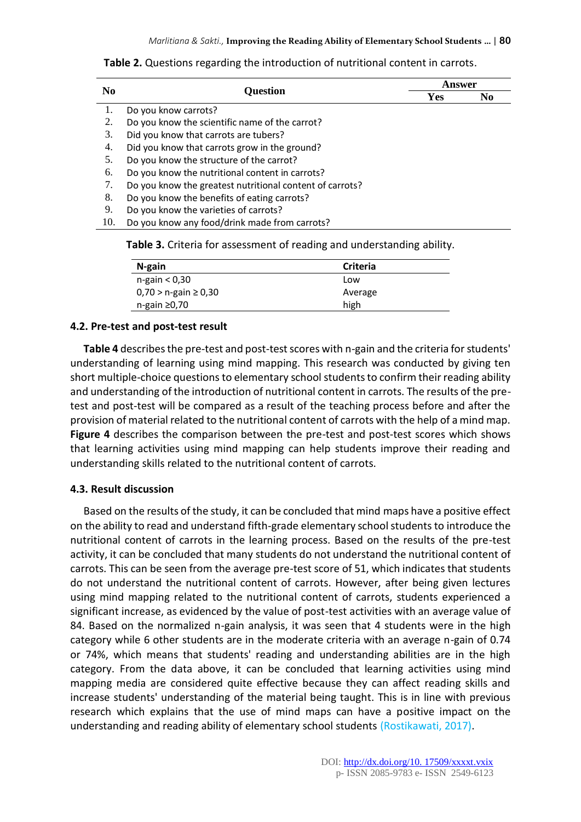**Table 2.** Questions regarding the introduction of nutritional content in carrots.

|                                                          | Answer          |                |  |
|----------------------------------------------------------|-----------------|----------------|--|
|                                                          | Yes             | N <sub>0</sub> |  |
| Do you know carrots?                                     |                 |                |  |
| Do you know the scientific name of the carrot?           |                 |                |  |
| Did you know that carrots are tubers?                    |                 |                |  |
| Did you know that carrots grow in the ground?            |                 |                |  |
| Do you know the structure of the carrot?                 |                 |                |  |
| Do you know the nutritional content in carrots?          |                 |                |  |
| Do you know the greatest nutritional content of carrots? |                 |                |  |
| Do you know the benefits of eating carrots?              |                 |                |  |
| Do you know the varieties of carrots?                    |                 |                |  |
| Do you know any food/drink made from carrots?            |                 |                |  |
|                                                          | <b>Question</b> |                |  |

**Table 3.** Criteria for assessment of reading and understanding ability.

| N-gain                      | Criteria |
|-----------------------------|----------|
| n-gain < 0,30               | Low      |
| $0,70 > n$ -gain $\ge 0,30$ | Average  |
| n-gain ≥0,70                | high     |

### **4.2. Pre-test and post-test result**

**Table 4** describes the pre-test and post-test scores with n-gain and the criteria for students' understanding of learning using mind mapping. This research was conducted by giving ten short multiple-choice questions to elementary school students to confirm their reading ability and understanding of the introduction of nutritional content in carrots. The results of the pretest and post-test will be compared as a result of the teaching process before and after the provision of material related to the nutritional content of carrots with the help of a mind map. **Figure 4** describes the comparison between the pre-test and post-test scores which shows that learning activities using mind mapping can help students improve their reading and understanding skills related to the nutritional content of carrots.

### **4.3. Result discussion**

Based on the results of the study, it can be concluded that mind maps have a positive effect on the ability to read and understand fifth-grade elementary school students to introduce the nutritional content of carrots in the learning process. Based on the results of the pre-test activity, it can be concluded that many students do not understand the nutritional content of carrots. This can be seen from the average pre-test score of 51, which indicates that students do not understand the nutritional content of carrots. However, after being given lectures using mind mapping related to the nutritional content of carrots, students experienced a significant increase, as evidenced by the value of post-test activities with an average value of 84. Based on the normalized n-gain analysis, it was seen that 4 students were in the high category while 6 other students are in the moderate criteria with an average n-gain of 0.74 or 74%, which means that students' reading and understanding abilities are in the high category. From the data above, it can be concluded that learning activities using mind mapping media are considered quite effective because they can affect reading skills and increase students' understanding of the material being taught. This is in line with previous research which explains that the use of mind maps can have a positive impact on the understanding and reading ability of elementary school students (Rostikawati, 2017).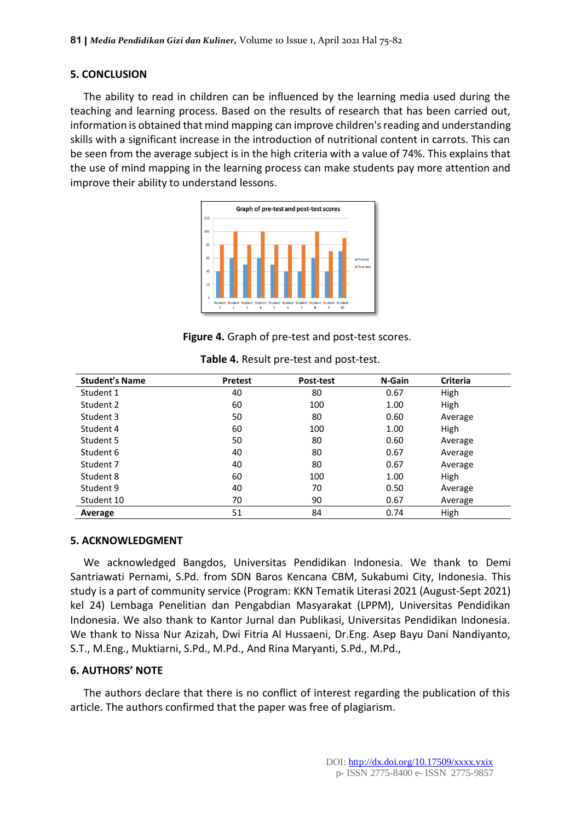### **5. CONCLUSION**

The ability to read in children can be influenced by the learning media used during the teaching and learning process. Based on the results of research that has been carried out, information is obtained that mind mapping can improve children's reading and understanding skills with a significant increase in the introduction of nutritional content in carrots. This can be seen from the average subject is in the high criteria with a value of 74%. This explains that the use of mind mapping in the learning process can make students pay more attention and improve their ability to understand lessons.



**Figure 4.** Graph of pre-test and post-test scores.

| <b>Student's Name</b> | <b>Pretest</b> | Post-test | N-Gain | Criteria |
|-----------------------|----------------|-----------|--------|----------|
| Student 1             | 40             | 80        | 0.67   | High     |
| Student 2             | 60             | 100       | 1.00   | High     |
| Student 3             | 50             | 80        | 0.60   | Average  |
| Student 4             | 60             | 100       | 1.00   | High     |
| Student 5             | 50             | 80        | 0.60   | Average  |
| Student 6             | 40             | 80        | 0.67   | Average  |
| Student 7             | 40             | 80        | 0.67   | Average  |
| Student 8             | 60             | 100       | 1.00   | High     |
| Student 9             | 40             | 70        | 0.50   | Average  |
| Student 10            | 70             | 90        | 0.67   | Average  |
| Average               | 51             | 84        | 0.74   | High     |

**Table 4.** Result pre-test and post-test.

### **5. ACKNOWLEDGMENT**

We acknowledged Bangdos, Universitas Pendidikan Indonesia. We thank to Demi Santriawati Pernami, S.Pd. from SDN Baros Kencana CBM, Sukabumi City, Indonesia. This study is a part of community service (Program: KKN Tematik Literasi 2021 (August-Sept 2021) kel 24) Lembaga Penelitian dan Pengabdian Masyarakat (LPPM), Universitas Pendidikan Indonesia. We also thank to Kantor Jurnal dan Publikasi, Universitas Pendidikan Indonesia. We thank to Nissa Nur Azizah, Dwi Fitria Al Hussaeni, Dr.Eng. Asep Bayu Dani Nandiyanto, S.T., M.Eng., Muktiarni, S.Pd., M.Pd., And Rina Maryanti, S.Pd., M.Pd.,

### **6. AUTHORS' NOTE**

The authors declare that there is no conflict of interest regarding the publication of this article. The authors confirmed that the paper was free of plagiarism.